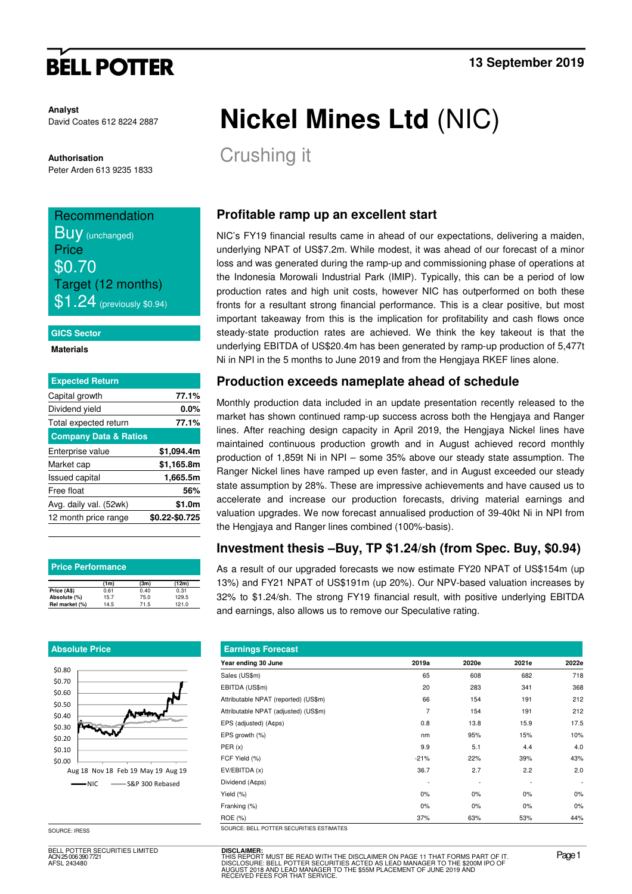# **BELL POTTER**

**Analyst** David Coates 612 8224 2887

**Authorisation** 

Peter Arden 613 9235 1833

# Recommendation **Buy** (unchanged) **Price** \$0.70 Target (12 months)

 $$1.24$  (previously \$0.94)

### **GICS Sector**

**Materials** 

| <b>Expected Return</b>           |                |
|----------------------------------|----------------|
| Capital growth                   | 77.1%          |
| Dividend yield                   | $0.0\%$        |
| Total expected return            | 77.1%          |
| <b>Company Data &amp; Ratios</b> |                |
| Enterprise value                 | \$1,094.4m     |
| Market cap                       | \$1,165.8m     |
| <b>Issued capital</b>            | 1,665.5m       |
| Free float                       | 56%            |
| Avg. daily val. (52wk)           | \$1.0m         |
| 12 month price range             | \$0.22-\$0.725 |

| <b>Price Performance</b> |      |      |       |  |  |  |  |  |
|--------------------------|------|------|-------|--|--|--|--|--|
|                          | (1m) | (3m) | (12m) |  |  |  |  |  |
| Price (A\$)              | 0.61 | 0.40 | 0.31  |  |  |  |  |  |
| Absolute (%)             | 15.7 | 75.0 | 129.5 |  |  |  |  |  |
| Rel market (%)           | 14.5 | 71.5 | 121.0 |  |  |  |  |  |

### **Absolute Price**



SOURCE: IRESS

BELL POTTER SECURITIES LIMITED ACN 25 006 390 7721 AFSL 243480

# **Nickel Mines Ltd** (NIC)

Crushing it

## **Profitable ramp up an excellent start**

NIC's FY19 financial results came in ahead of our expectations, delivering a maiden, underlying NPAT of US\$7.2m. While modest, it was ahead of our forecast of a minor loss and was generated during the ramp-up and commissioning phase of operations at the Indonesia Morowali Industrial Park (IMIP). Typically, this can be a period of low production rates and high unit costs, however NIC has outperformed on both these fronts for a resultant strong financial performance. This is a clear positive, but most important takeaway from this is the implication for profitability and cash flows once steady-state production rates are achieved. We think the key takeout is that the underlying EBITDA of US\$20.4m has been generated by ramp-up production of 5,477t Ni in NPI in the 5 months to June 2019 and from the Hengjaya RKEF lines alone.

### **Production exceeds nameplate ahead of schedule**

Monthly production data included in an update presentation recently released to the market has shown continued ramp-up success across both the Hengjaya and Ranger lines. After reaching design capacity in April 2019, the Hengjaya Nickel lines have maintained continuous production growth and in August achieved record monthly production of 1,859t Ni in NPI – some 35% above our steady state assumption. The Ranger Nickel lines have ramped up even faster, and in August exceeded our steady state assumption by 28%. These are impressive achievements and have caused us to accelerate and increase our production forecasts, driving material earnings and valuation upgrades. We now forecast annualised production of 39-40kt Ni in NPI from the Hengjaya and Ranger lines combined (100%-basis).

### **Investment thesis –Buy, TP \$1.24/sh (from Spec. Buy, \$0.94)**

As a result of our upgraded forecasts we now estimate FY20 NPAT of US\$154m (up 13%) and FY21 NPAT of US\$191m (up 20%). Our NPV-based valuation increases by 32% to \$1.24/sh. The strong FY19 financial result, with positive underlying EBITDA and earnings, also allows us to remove our Speculative rating.

| <b>Earnings Forecast</b>                |        |       |       |                          |  |  |  |  |  |
|-----------------------------------------|--------|-------|-------|--------------------------|--|--|--|--|--|
| Year ending 30 June                     | 2019a  | 2020e | 2021e | 2022e                    |  |  |  |  |  |
| Sales (US\$m)                           | 65     | 608   | 682   | 718                      |  |  |  |  |  |
| EBITDA (US\$m)                          | 20     | 283   | 341   | 368                      |  |  |  |  |  |
| Attributable NPAT (reported) (US\$m)    | 66     | 154   | 191   | 212                      |  |  |  |  |  |
| Attributable NPAT (adjusted) (US\$m)    | 7      | 154   | 191   | 212                      |  |  |  |  |  |
| EPS (adjusted) (A¢ps)                   | 0.8    | 13.8  | 15.9  | 17.5                     |  |  |  |  |  |
| EPS growth (%)                          | nm     | 95%   | 15%   | 10%                      |  |  |  |  |  |
| PER(x)                                  | 9.9    | 5.1   | 4.4   | 4.0                      |  |  |  |  |  |
| FCF Yield (%)                           | $-21%$ | 22%   | 39%   | 43%                      |  |  |  |  |  |
| EV/EBITDA (x)                           | 36.7   | 2.7   | 2.2   | 2.0                      |  |  |  |  |  |
| Dividend (Acps)                         |        |       |       | $\overline{\phantom{a}}$ |  |  |  |  |  |
| Yield (%)                               | $0\%$  | 0%    | $0\%$ | $0\%$                    |  |  |  |  |  |
| Franking (%)                            | $0\%$  | 0%    | $0\%$ | 0%                       |  |  |  |  |  |
| ROE (%)                                 | 37%    | 63%   | 53%   | 44%                      |  |  |  |  |  |
| SOURCE-RELL POTTER SECURITIES ESTIMATES |        |       |       |                          |  |  |  |  |  |

**DISCLAIMER:** THIS REPORT MUST BE READ WITH THE DISCLAIMER ON PAGE 11 THAT FORMS PART OF IT.<br>DISCLOSURE: BELL POTTER SECURITIES ACTED AS LEAD MANAGER TO THE \$200M IPO OF<br>AUGUST 2018 AND LEAD MANAGER TO THE \$55M PLACEMENT OF JUNE 2019 AN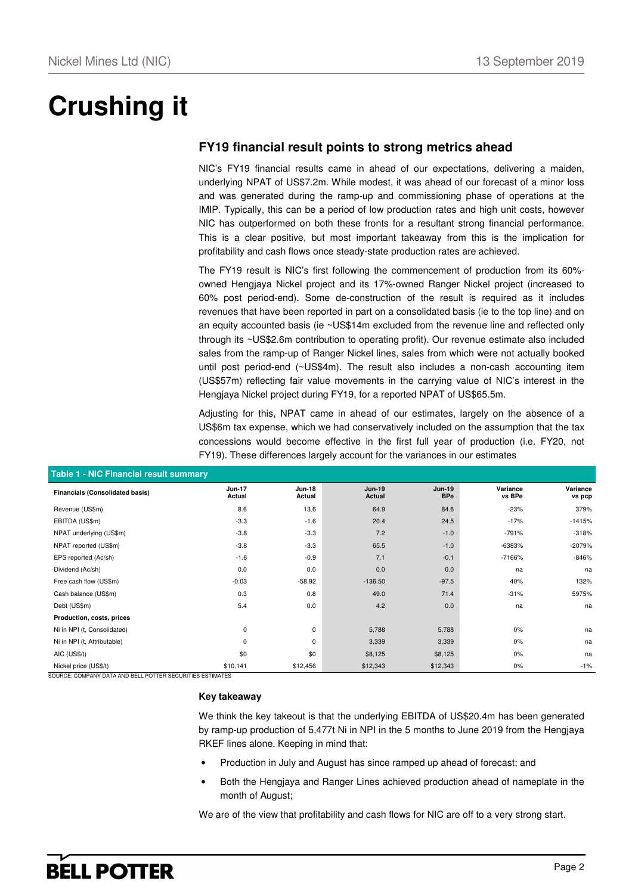# **Crushing it**

# **FY19 financial result points to strong metrics ahead**

NIC's FY19 financial results came in ahead of our expectations, delivering a maiden, underlying NPAT of US\$7.2m. While modest, it was ahead of our forecast of a minor loss and was generated during the ramp-up and commissioning phase of operations at the IMIP. Typically, this can be a period of low production rates and high unit costs, however NIC has outperformed on both these fronts for a resultant strong financial performance. This is a clear positive, but most important takeaway from this is the implication for profitability and cash flows once steady-state production rates are achieved.

The FY19 result is NIC's first following the commencement of production from its 60% owned Hengjaya Nickel project and its 17%-owned Ranger Nickel project (increased to 60% post period-end). Some de-construction of the result is required as it includes revenues that have been reported in part on a consolidated basis (ie to the top line) and on an equity accounted basis (ie ~US\$14m excluded from the revenue line and reflected only through its ~US\$2.6m contribution to operating profit). Our revenue estimate also included sales from the ramp-up of Ranger Nickel lines, sales from which were not actually booked until post period-end (~US\$4m). The result also includes a non-cash accounting item (US\$57m) reflecting fair value movements in the carrying value of NIC's interest in the Hengjaya Nickel project during FY19, for a reported NPAT of US\$65.5m.

Adjusting for this, NPAT came in ahead of our estimates, largely on the absence of a US\$6m tax expense, which we had conservatively included on the assumption that the tax concessions would become effective in the first full year of production (i.e. FY20, not FY19). These differences largely account for the variances in our estimates

| Table 1 - NIC Financial result summary |                  |                         |                                |                             |                    |                    |  |  |  |  |
|----------------------------------------|------------------|-------------------------|--------------------------------|-----------------------------|--------------------|--------------------|--|--|--|--|
| <b>Financials (Consolidated basis)</b> | Jun-17<br>Actual | <b>Jun-18</b><br>Actual | <b>Jun-19</b><br><b>Actual</b> | <b>Jun-19</b><br><b>BPe</b> | Variance<br>vs BPe | Variance<br>vs pcp |  |  |  |  |
| Revenue (US\$m)                        | 8.6              | 13.6                    | 64.9                           | 84.6                        | $-23%$             | 379%               |  |  |  |  |
| EBITDA (US\$m)                         | $-3.3$           | $-1.6$                  | 20.4                           | 24.5                        | $-17%$             | $-1415%$           |  |  |  |  |
| NPAT underlying (US\$m)                | $-3.8$           | $-3.3$                  | 7.2                            | $-1.0$                      | $-791%$            | $-318%$            |  |  |  |  |
| NPAT reported (US\$m)                  | $-3.8$           | $-3.3$                  | 65.5                           | $-1.0$                      | -6383%             | $-2079%$           |  |  |  |  |
| EPS reported (Ac/sh)                   | $-1.6$           | $-0.9$                  | 7.1                            | $-0.1$                      | $-7166%$           | $-846%$            |  |  |  |  |
| Dividend (Ac/sh)                       | 0.0              | 0.0                     | 0.0                            | 0.0                         | na                 | na                 |  |  |  |  |
| Free cash flow (US\$m)                 | $-0.03$          | $-58.92$                | $-136.50$                      | $-97.5$                     | 40%                | 132%               |  |  |  |  |
| Cash balance (US\$m)                   | 0.3              | 0.8                     | 49.0                           | 71.4                        | $-31%$             | 5975%              |  |  |  |  |
| Debt (US\$m)                           | 5.4              | $0.0\,$                 | 4.2                            | 0.0                         | na                 | na                 |  |  |  |  |
| Production, costs, prices              |                  |                         |                                |                             |                    |                    |  |  |  |  |
| Ni in NPI (t, Consolidated)            | $\mathbf 0$      | $\mathbf 0$             | 5,788                          | 5,788                       | $0\%$              | na                 |  |  |  |  |
| Ni in NPI (t, Attributable)            | $\mathbf 0$      | $\mathbf 0$             | 3,339                          | 3,339                       | 0%                 | na                 |  |  |  |  |
| AIC (US\$/t)                           | \$0              | \$0                     | \$8,125                        | \$8,125                     | 0%                 | na                 |  |  |  |  |
| Nickel price (US\$/t)                  | \$10,141         | \$12,456                | \$12,343                       | \$12,343                    | 0%                 | $-1%$              |  |  |  |  |

### **Table 1 - NIC Financial result summary**

SOURCE: COMPANY DATA AND BELL POTTER SECURITIES ESTIMATES

### **Key takeaway**

We think the key takeout is that the underlying EBITDA of US\$20.4m has been generated by ramp-up production of 5,477t Ni in NPI in the 5 months to June 2019 from the Hengjaya RKEF lines alone. Keeping in mind that:

- Production in July and August has since ramped up ahead of forecast; and
- Both the Hengjaya and Ranger Lines achieved production ahead of nameplate in the month of August;

We are of the view that profitability and cash flows for NIC are off to a very strong start.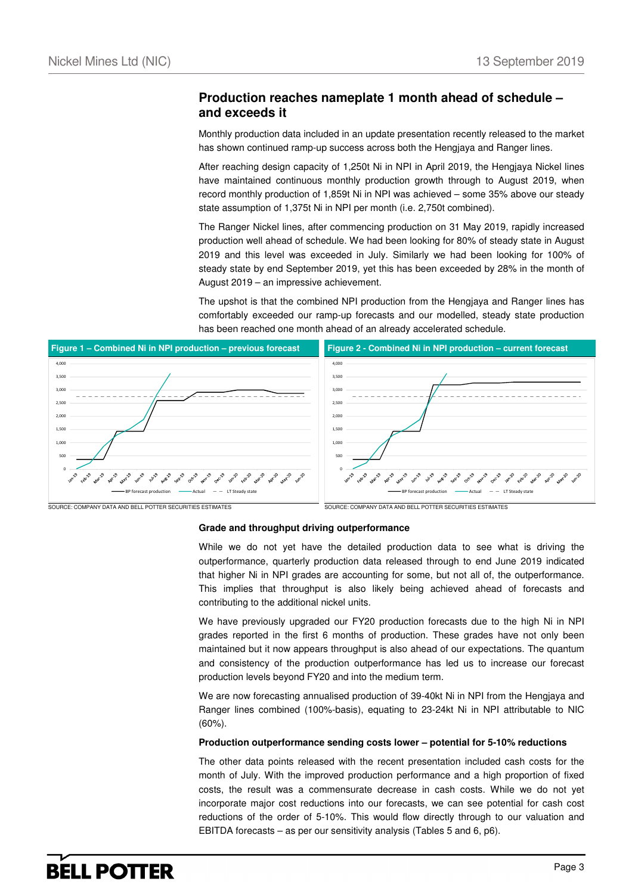### **Production reaches nameplate 1 month ahead of schedule – and exceeds it**

Monthly production data included in an update presentation recently released to the market has shown continued ramp-up success across both the Hengjaya and Ranger lines.

After reaching design capacity of 1,250t Ni in NPI in April 2019, the Hengjaya Nickel lines have maintained continuous monthly production growth through to August 2019, when record monthly production of 1,859t Ni in NPI was achieved – some 35% above our steady state assumption of 1,375t Ni in NPI per month (i.e. 2,750t combined).

The Ranger Nickel lines, after commencing production on 31 May 2019, rapidly increased production well ahead of schedule. We had been looking for 80% of steady state in August 2019 and this level was exceeded in July. Similarly we had been looking for 100% of steady state by end September 2019, yet this has been exceeded by 28% in the month of August 2019 – an impressive achievement.

The upshot is that the combined NPI production from the Hengjaya and Ranger lines has comfortably exceeded our ramp-up forecasts and our modelled, steady state production has been reached one month ahead of an already accelerated schedule.



#### **Grade and throughput driving outperformance**

While we do not yet have the detailed production data to see what is driving the outperformance, quarterly production data released through to end June 2019 indicated that higher Ni in NPI grades are accounting for some, but not all of, the outperformance. This implies that throughput is also likely being achieved ahead of forecasts and contributing to the additional nickel units.

We have previously upgraded our FY20 production forecasts due to the high Ni in NPI grades reported in the first 6 months of production. These grades have not only been maintained but it now appears throughput is also ahead of our expectations. The quantum and consistency of the production outperformance has led us to increase our forecast production levels beyond FY20 and into the medium term.

We are now forecasting annualised production of 39-40kt Ni in NPI from the Hengjaya and Ranger lines combined (100%-basis), equating to 23-24kt Ni in NPI attributable to NIC (60%).

### **Production outperformance sending costs lower – potential for 5-10% reductions**

The other data points released with the recent presentation included cash costs for the month of July. With the improved production performance and a high proportion of fixed costs, the result was a commensurate decrease in cash costs. While we do not yet incorporate major cost reductions into our forecasts, we can see potential for cash cost reductions of the order of 5-10%. This would flow directly through to our valuation and EBITDA forecasts – as per our sensitivity analysis (Tables 5 and 6, p6).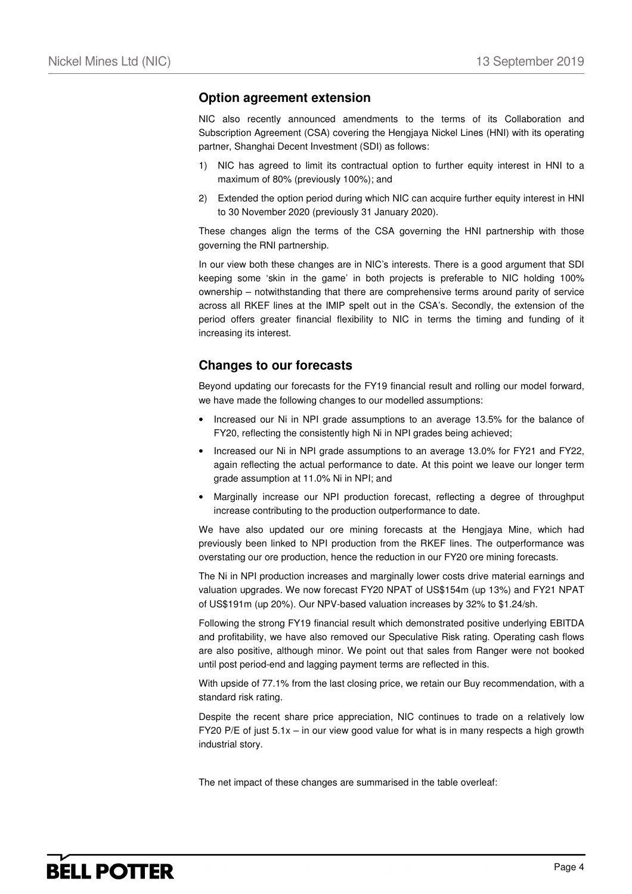### **Option agreement extension**

NIC also recently announced amendments to the terms of its Collaboration and Subscription Agreement (CSA) covering the Hengjaya Nickel Lines (HNI) with its operating partner, Shanghai Decent Investment (SDI) as follows:

- 1) NIC has agreed to limit its contractual option to further equity interest in HNI to a maximum of 80% (previously 100%); and
- 2) Extended the option period during which NIC can acquire further equity interest in HNI to 30 November 2020 (previously 31 January 2020).

These changes align the terms of the CSA governing the HNI partnership with those governing the RNI partnership.

In our view both these changes are in NIC's interests. There is a good argument that SDI keeping some 'skin in the game' in both projects is preferable to NIC holding 100% ownership – notwithstanding that there are comprehensive terms around parity of service across all RKEF lines at the IMIP spelt out in the CSA's. Secondly, the extension of the period offers greater financial flexibility to NIC in terms the timing and funding of it increasing its interest.

### **Changes to our forecasts**

Beyond updating our forecasts for the FY19 financial result and rolling our model forward, we have made the following changes to our modelled assumptions:

- Increased our Ni in NPI grade assumptions to an average 13.5% for the balance of FY20, reflecting the consistently high Ni in NPI grades being achieved;
- Increased our Ni in NPI grade assumptions to an average 13.0% for FY21 and FY22, again reflecting the actual performance to date. At this point we leave our longer term grade assumption at 11.0% Ni in NPI; and
- Marginally increase our NPI production forecast, reflecting a degree of throughput increase contributing to the production outperformance to date.

We have also updated our ore mining forecasts at the Hengjaya Mine, which had previously been linked to NPI production from the RKEF lines. The outperformance was overstating our ore production, hence the reduction in our FY20 ore mining forecasts.

The Ni in NPI production increases and marginally lower costs drive material earnings and valuation upgrades. We now forecast FY20 NPAT of US\$154m (up 13%) and FY21 NPAT of US\$191m (up 20%). Our NPV-based valuation increases by 32% to \$1.24/sh.

Following the strong FY19 financial result which demonstrated positive underlying EBITDA and profitability, we have also removed our Speculative Risk rating. Operating cash flows are also positive, although minor. We point out that sales from Ranger were not booked until post period-end and lagging payment terms are reflected in this.

With upside of 77.1% from the last closing price, we retain our Buy recommendation, with a standard risk rating.

Despite the recent share price appreciation, NIC continues to trade on a relatively low FY20 P/E of just 5.1x – in our view good value for what is in many respects a high growth industrial story.

The net impact of these changes are summarised in the table overleaf: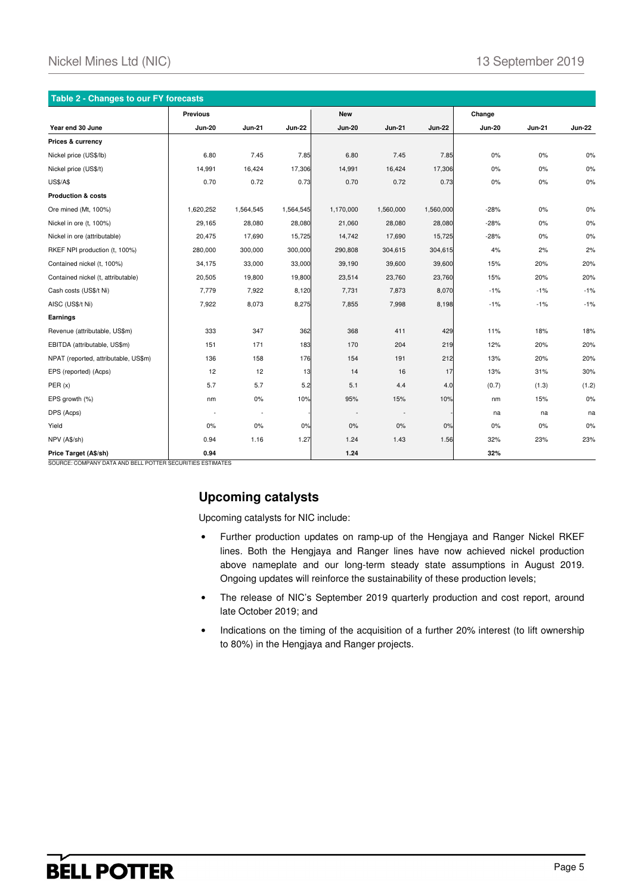| Table 2 - Changes to our FY forecasts |                |               |               |                          |               |               |               |               |               |  |
|---------------------------------------|----------------|---------------|---------------|--------------------------|---------------|---------------|---------------|---------------|---------------|--|
|                                       | Previous       |               |               | <b>New</b>               |               |               | Change        |               |               |  |
| Year end 30 June                      | <b>Jun-20</b>  | <b>Jun-21</b> | <b>Jun-22</b> | <b>Jun-20</b>            | <b>Jun-21</b> | <b>Jun-22</b> | <b>Jun-20</b> | <b>Jun-21</b> | <b>Jun-22</b> |  |
| Prices & currency                     |                |               |               |                          |               |               |               |               |               |  |
| Nickel price (US\$/lb)                | 6.80           | 7.45          | 7.85          | 6.80                     | 7.45          | 7.85          | 0%            | 0%            | 0%            |  |
| Nickel price (US\$/t)                 | 14,991         | 16,424        | 17,306        | 14,991                   | 16,424        | 17,306        | $0\%$         | $0\%$         | 0%            |  |
| <b>US\$/A\$</b>                       | 0.70           | 0.72          | 0.73          | 0.70                     | 0.72          | 0.73          | 0%            | $0\%$         | 0%            |  |
| <b>Production &amp; costs</b>         |                |               |               |                          |               |               |               |               |               |  |
| Ore mined (Mt, 100%)                  | 1,620,252      | 1,564,545     | 1,564,545     | 1,170,000                | 1,560,000     | 1,560,000     | $-28%$        | $0\%$         | 0%            |  |
| Nickel in ore (t, 100%)               | 29,165         | 28,080        | 28,080        | 21,060                   | 28,080        | 28,080        | $-28%$        | 0%            | $0\%$         |  |
| Nickel in ore (attributable)          | 20,475         | 17,690        | 15,725        | 14,742                   | 17,690        | 15,725        | $-28%$        | 0%            | $0\%$         |  |
| RKEF NPI production (t, 100%)         | 280,000        | 300,000       | 300,000       | 290,808                  | 304,615       | 304,615       | 4%            | 2%            | 2%            |  |
| Contained nickel (t, 100%)            | 34,175         | 33,000        | 33,000        | 39,190                   | 39,600        | 39,600        | 15%           | 20%           | 20%           |  |
| Contained nickel (t, attributable)    | 20,505         | 19,800        | 19,800        | 23,514                   | 23,760        | 23,760        | 15%           | 20%           | 20%           |  |
| Cash costs (US\$/t Ni)                | 7,779          | 7,922         | 8,120         | 7,731                    | 7,873         | 8,070         | $-1%$         | $-1%$         | $-1%$         |  |
| AISC (US\$/t Ni)                      | 7,922          | 8,073         | 8,275         | 7,855                    | 7,998         | 8,198         | $-1%$         | $-1%$         | $-1%$         |  |
| Earnings                              |                |               |               |                          |               |               |               |               |               |  |
| Revenue (attributable, US\$m)         | 333            | 347           | 362           | 368                      | 411           | 429           | 11%           | 18%           | 18%           |  |
| EBITDA (attributable, US\$m)          | 151            | 171           | 183           | 170                      | 204           | 219           | 12%           | 20%           | 20%           |  |
| NPAT (reported, attributable, US\$m)  | 136            | 158           | 176           | 154                      | 191           | 212           | 13%           | 20%           | 20%           |  |
| EPS (reported) (Acps)                 | 12             | 12            | 13            | 14                       | 16            | 17            | 13%           | 31%           | 30%           |  |
| PER(x)                                | 5.7            | 5.7           | 5.2           | 5.1                      | 4.4           | 4.0           | (0.7)         | (1.3)         | (1.2)         |  |
| EPS growth (%)                        | nm             | $0\%$         | 10%           | 95%                      | 15%           | 10%           | nm            | 15%           | $0\%$         |  |
| DPS (Acps)                            | $\overline{a}$ | $\sim$        |               | $\overline{\phantom{a}}$ | $\sim$        |               | na            | na            | na            |  |
| Yield                                 | 0%             | 0%            | 0%            | 0%                       | 0%            | 0%            | 0%            | 0%            | 0%            |  |
| NPV (A\$/sh)                          | 0.94           | 1.16          | 1.27          | 1.24                     | 1.43          | 1.56          | 32%           | 23%           | 23%           |  |
| Price Target (A\$/sh)                 | 0.94           |               |               | 1.24                     |               |               | 32%           |               |               |  |

SOURCE: COMPANY DATA AND BELL POTTER SECURITIES ESTIMATES

# **Upcoming catalysts**

Upcoming catalysts for NIC include:

- Further production updates on ramp-up of the Hengjaya and Ranger Nickel RKEF lines. Both the Hengjaya and Ranger lines have now achieved nickel production above nameplate and our long-term steady state assumptions in August 2019. Ongoing updates will reinforce the sustainability of these production levels;
- The release of NIC's September 2019 quarterly production and cost report, around late October 2019; and
- Indications on the timing of the acquisition of a further 20% interest (to lift ownership to 80%) in the Hengjaya and Ranger projects.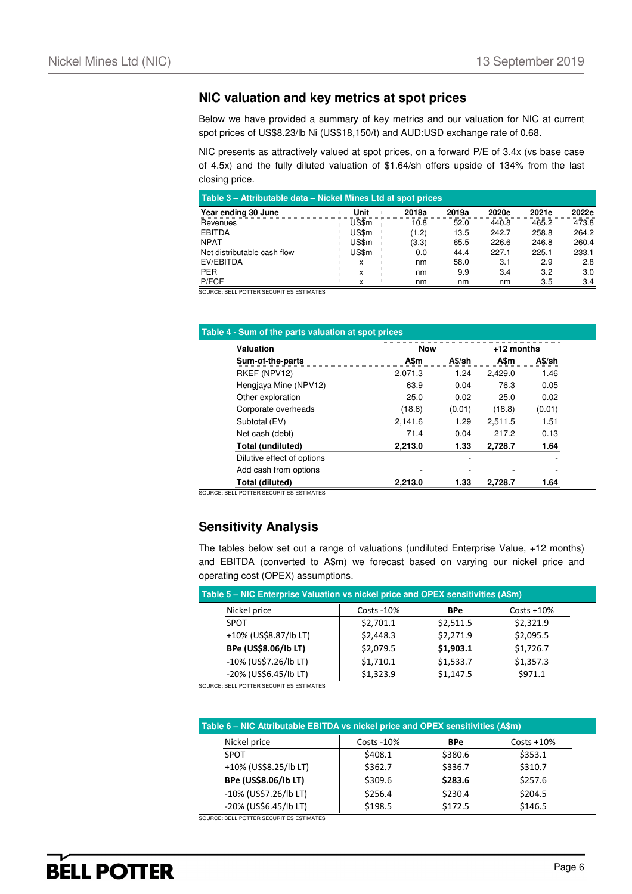### **NIC valuation and key metrics at spot prices**

Below we have provided a summary of key metrics and our valuation for NIC at current spot prices of US\$8.23/lb Ni (US\$18,150/t) and AUD:USD exchange rate of 0.68.

NIC presents as attractively valued at spot prices, on a forward P/E of 3.4x (vs base case of 4.5x) and the fully diluted valuation of \$1.64/sh offers upside of 134% from the last closing price.

| Table 3 – Attributable data – Nickel Mines Ltd at spot prices |       |       |       |       |       |       |  |  |
|---------------------------------------------------------------|-------|-------|-------|-------|-------|-------|--|--|
| Year ending 30 June                                           | Unit  | 2018a | 2019a | 2020e | 2021e | 2022e |  |  |
| Revenues                                                      | US\$m | 10.8  | 52.0  | 440.8 | 465.2 | 473.8 |  |  |
| <b>EBITDA</b>                                                 | US\$m | (1.2) | 13.5  | 242.7 | 258.8 | 264.2 |  |  |
| <b>NPAT</b>                                                   | US\$m | (3.3) | 65.5  | 226.6 | 246.8 | 260.4 |  |  |
| Net distributable cash flow                                   | US\$m | 0.0   | 44.4  | 227.1 | 225.1 | 233.1 |  |  |
| EV/EBITDA                                                     | x     | nm    | 58.0  | 3.1   | 2.9   | 2.8   |  |  |
| PER.                                                          | X     | nm    | 9.9   | 3.4   | 3.2   | 3.0   |  |  |
| P/FCF                                                         | x     | nm    | nm    | nm    | 3.5   | 3.4   |  |  |

SOURCE: BELL POTTER SECURITIES ESTIMATES

| Valuation                  | <b>Now</b> |        | $+12$ months |        |
|----------------------------|------------|--------|--------------|--------|
| Sum-of-the-parts           | A\$m       | A\$/sh | A\$m         | A\$/sh |
| RKEF (NPV12)               | 2.071.3    | 1.24   | 2.429.0      | 1.46   |
| Hengjaya Mine (NPV12)      | 63.9       | 0.04   | 76.3         | 0.05   |
| Other exploration          | 25.0       | 0.02   | 25.0         | 0.02   |
| Corporate overheads        | (18.6)     | (0.01) | (18.8)       | (0.01) |
| Subtotal (EV)              | 2,141.6    | 1.29   | 2.511.5      | 1.51   |
| Net cash (debt)            | 71.4       | 0.04   | 217.2        | 0.13   |
| Total (undiluted)          | 2,213.0    | 1.33   | 2,728.7      | 1.64   |
| Dilutive effect of options |            |        |              |        |
| Add cash from options      |            |        |              |        |
| Total (diluted)            | 2,213.0    | 1.33   | 2.728.7      | 1.64   |

SOURCE: BELL POTTER SECURITIES ESTIMATES

### **Sensitivity Analysis**

The tables below set out a range of valuations (undiluted Enterprise Value, +12 months) and EBITDA (converted to A\$m) we forecast based on varying our nickel price and operating cost (OPEX) assumptions.

| Table 5 – NIC Enterprise Valuation vs nickel price and OPEX sensitivities (A\$m) |             |            |                |  |  |  |  |  |
|----------------------------------------------------------------------------------|-------------|------------|----------------|--|--|--|--|--|
| Nickel price                                                                     | Costs - 10% | <b>BPe</b> | $Costs + 10\%$ |  |  |  |  |  |
| <b>SPOT</b>                                                                      | \$2,701.1   | \$2,511.5  | \$2,321.9      |  |  |  |  |  |
| +10% (US\$8.87/lb LT)                                                            | \$2,448.3   | \$2,271.9  | \$2,095.5      |  |  |  |  |  |
| <b>BPe (US\$8.06/lb LT)</b>                                                      | \$2,079.5   | \$1,903.1  | \$1,726.7      |  |  |  |  |  |
| -10% (US\$7.26/lb LT)                                                            | \$1,710.1   | \$1,533.7  | \$1,357.3      |  |  |  |  |  |
| -20% (US\$6.45/lb LT)                                                            | \$1,323.9   | \$1,147.5  | \$971.1        |  |  |  |  |  |
|                                                                                  |             |            |                |  |  |  |  |  |

SOURCE: BELL POTTER SECURITIES ESTIMATES

| Table 6 - NIC Attributable EBITDA vs nickel price and OPEX sensitivities (A\$m) |              |            |               |  |  |  |  |
|---------------------------------------------------------------------------------|--------------|------------|---------------|--|--|--|--|
| Nickel price                                                                    | Costs $-10%$ | <b>BPe</b> | $Costs + 10%$ |  |  |  |  |
| <b>SPOT</b>                                                                     | \$408.1      | \$380.6    | \$353.1       |  |  |  |  |
| +10% (US\$8.25/lb LT)                                                           | \$362.7      | \$336.7    | \$310.7       |  |  |  |  |
| BPe (US\$8.06/lb LT)                                                            | \$309.6      | \$283.6    | \$257.6       |  |  |  |  |
| -10% (US\$7.26/lb LT)                                                           | \$256.4      | \$230.4    | \$204.5       |  |  |  |  |
| -20% (US\$6.45/lb LT)                                                           | \$198.5      | \$172.5    | \$146.5       |  |  |  |  |

SOURCE: BELL POTTER SECURITIES ESTIMATES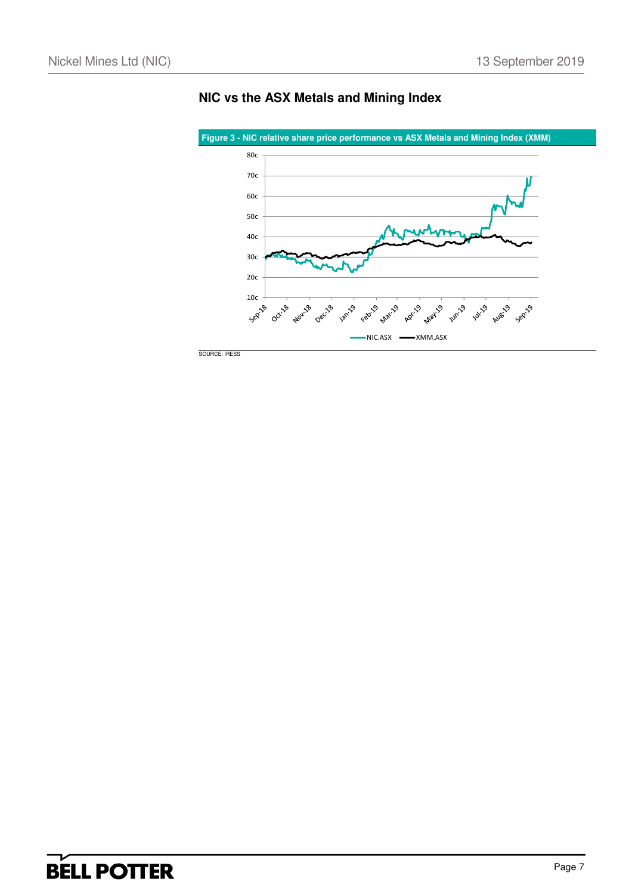

**NIC vs the ASX Metals and Mining Index**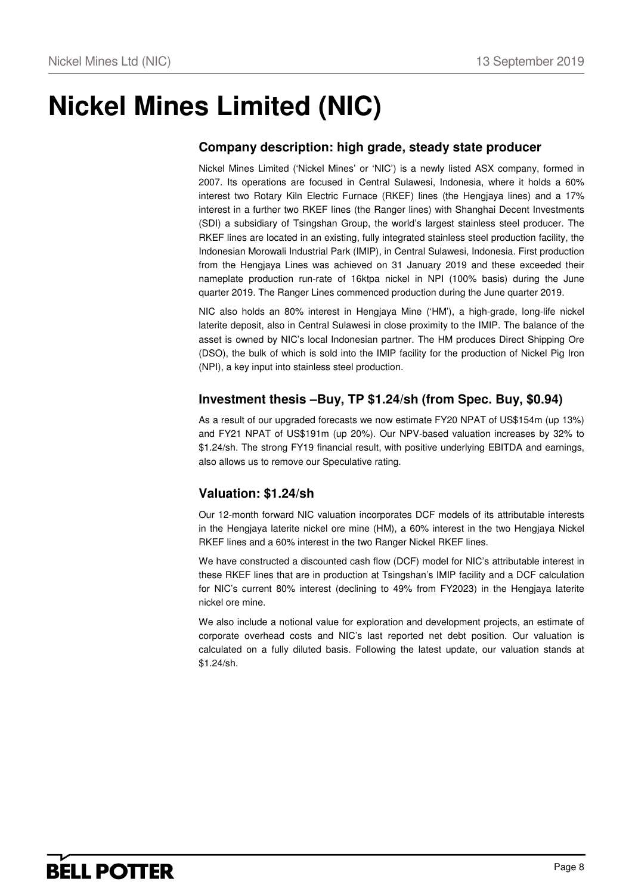# **Nickel Mines Limited (NIC)**

### **Company description: high grade, steady state producer**

Nickel Mines Limited ('Nickel Mines' or 'NIC') is a newly listed ASX company, formed in 2007. Its operations are focused in Central Sulawesi, Indonesia, where it holds a 60% interest two Rotary Kiln Electric Furnace (RKEF) lines (the Hengjaya lines) and a 17% interest in a further two RKEF lines (the Ranger lines) with Shanghai Decent Investments (SDI) a subsidiary of Tsingshan Group, the world's largest stainless steel producer. The RKEF lines are located in an existing, fully integrated stainless steel production facility, the Indonesian Morowali Industrial Park (IMIP), in Central Sulawesi, Indonesia. First production from the Hengjaya Lines was achieved on 31 January 2019 and these exceeded their nameplate production run-rate of 16ktpa nickel in NPI (100% basis) during the June quarter 2019. The Ranger Lines commenced production during the June quarter 2019.

NIC also holds an 80% interest in Hengjaya Mine ('HM'), a high-grade, long-life nickel laterite deposit, also in Central Sulawesi in close proximity to the IMIP. The balance of the asset is owned by NIC's local Indonesian partner. The HM produces Direct Shipping Ore (DSO), the bulk of which is sold into the IMIP facility for the production of Nickel Pig Iron (NPI), a key input into stainless steel production.

### **Investment thesis –Buy, TP \$1.24/sh (from Spec. Buy, \$0.94)**

As a result of our upgraded forecasts we now estimate FY20 NPAT of US\$154m (up 13%) and FY21 NPAT of US\$191m (up 20%). Our NPV-based valuation increases by 32% to \$1.24/sh. The strong FY19 financial result, with positive underlying EBITDA and earnings, also allows us to remove our Speculative rating.

### **Valuation: \$1.24/sh**

Our 12-month forward NIC valuation incorporates DCF models of its attributable interests in the Hengjaya laterite nickel ore mine (HM), a 60% interest in the two Hengjaya Nickel RKEF lines and a 60% interest in the two Ranger Nickel RKEF lines.

We have constructed a discounted cash flow (DCF) model for NIC's attributable interest in these RKEF lines that are in production at Tsingshan's IMIP facility and a DCF calculation for NIC's current 80% interest (declining to 49% from FY2023) in the Hengjaya laterite nickel ore mine.

We also include a notional value for exploration and development projects, an estimate of corporate overhead costs and NIC's last reported net debt position. Our valuation is calculated on a fully diluted basis. Following the latest update, our valuation stands at \$1.24/sh.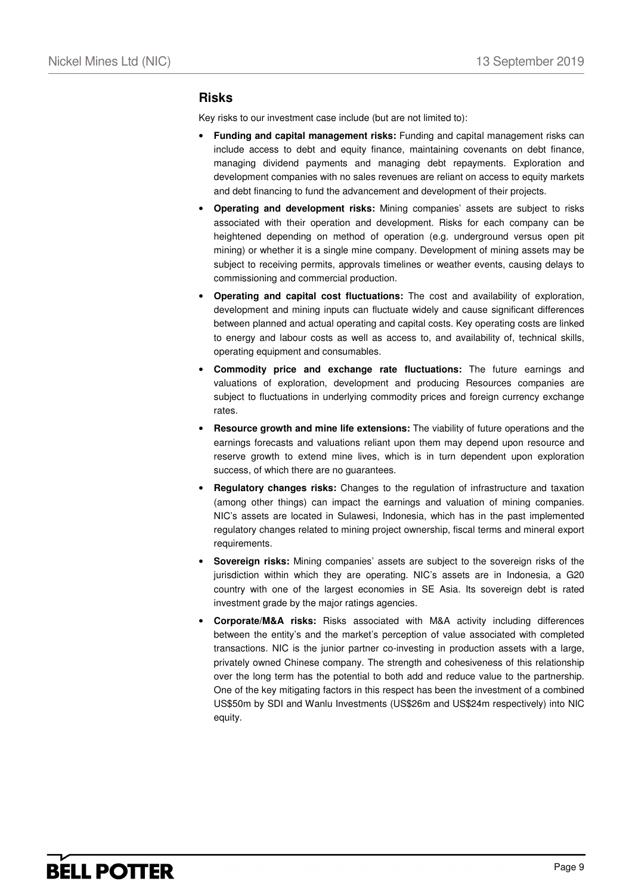### **Risks**

Key risks to our investment case include (but are not limited to):

- **Funding and capital management risks:** Funding and capital management risks can include access to debt and equity finance, maintaining covenants on debt finance, managing dividend payments and managing debt repayments. Exploration and development companies with no sales revenues are reliant on access to equity markets and debt financing to fund the advancement and development of their projects.
- **Operating and development risks:** Mining companies' assets are subject to risks associated with their operation and development. Risks for each company can be heightened depending on method of operation (e.g. underground versus open pit mining) or whether it is a single mine company. Development of mining assets may be subject to receiving permits, approvals timelines or weather events, causing delays to commissioning and commercial production.
- **Operating and capital cost fluctuations:** The cost and availability of exploration, development and mining inputs can fluctuate widely and cause significant differences between planned and actual operating and capital costs. Key operating costs are linked to energy and labour costs as well as access to, and availability of, technical skills, operating equipment and consumables.
- **Commodity price and exchange rate fluctuations:** The future earnings and valuations of exploration, development and producing Resources companies are subject to fluctuations in underlying commodity prices and foreign currency exchange rates.
- **Resource growth and mine life extensions:** The viability of future operations and the earnings forecasts and valuations reliant upon them may depend upon resource and reserve growth to extend mine lives, which is in turn dependent upon exploration success, of which there are no guarantees.
- **Regulatory changes risks:** Changes to the regulation of infrastructure and taxation (among other things) can impact the earnings and valuation of mining companies. NIC's assets are located in Sulawesi, Indonesia, which has in the past implemented regulatory changes related to mining project ownership, fiscal terms and mineral export requirements.
- **Sovereign risks:** Mining companies' assets are subject to the sovereign risks of the jurisdiction within which they are operating. NIC's assets are in Indonesia, a G20 country with one of the largest economies in SE Asia. Its sovereign debt is rated investment grade by the major ratings agencies.
- **Corporate/M&A risks:** Risks associated with M&A activity including differences between the entity's and the market's perception of value associated with completed transactions. NIC is the junior partner co-investing in production assets with a large, privately owned Chinese company. The strength and cohesiveness of this relationship over the long term has the potential to both add and reduce value to the partnership. One of the key mitigating factors in this respect has been the investment of a combined US\$50m by SDI and Wanlu Investments (US\$26m and US\$24m respectively) into NIC equity.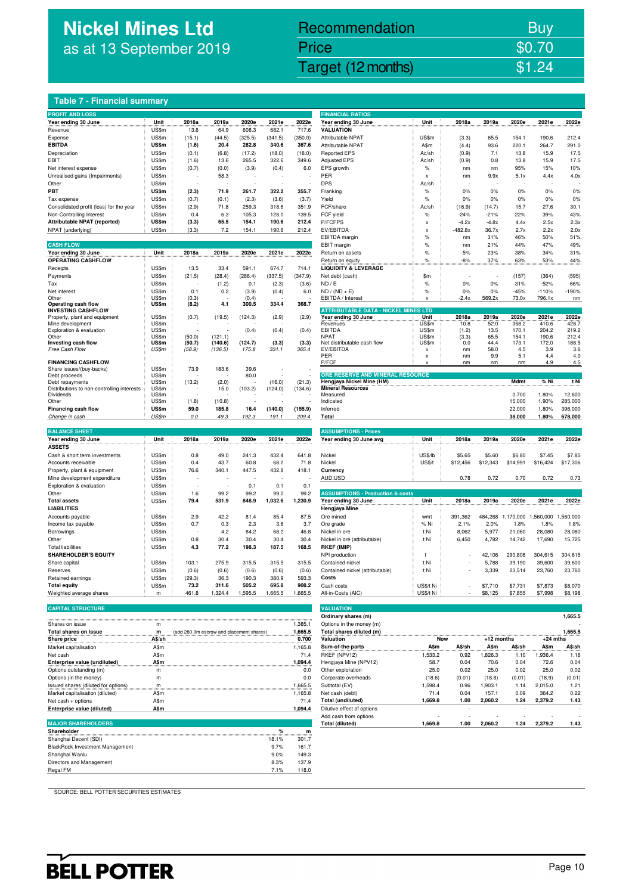# **Nickel Mines Ltd** as at 13 September 2019

# Nickel Mines Ltd (Nickel Mines Ltd (Nickel Mines Ltd (Nickel Mines Ltd (Nickel Mines Ltd Computer) \$1.24 Recommendation Buy Price \$0.70

### **Table 7 - Financial summary**

| <b>PROFIT AND LOSS</b>                                  |                |                                          |                    |                |         |         | <b>FINANCIAL RATIOS</b>                               |               |               |              |                   |                   |               |
|---------------------------------------------------------|----------------|------------------------------------------|--------------------|----------------|---------|---------|-------------------------------------------------------|---------------|---------------|--------------|-------------------|-------------------|---------------|
| Year ending 30 June                                     | Unit           | 2018a                                    | 2019a              | 2020e          | 2021e   | 2022e   | Year ending 30 June                                   | Unit          | 2018a         | 2019a        | 2020e             | 2021e             | 2022e         |
| Revenue                                                 | US\$m          | 13.6                                     | 64.9               | 608.3          | 682.1   | 717.6   | <b>VALUATION</b>                                      |               |               |              |                   |                   |               |
| Expense                                                 | US\$m          | (15.1)                                   | (44.5)             | (325.5)        | (341.5) | (350.0) | Attributable NPAT                                     | US\$m         | (3.3)         | 65.5         | 154.1             | 190.6             | 212.4         |
| <b>EBITDA</b>                                           | US\$m          | (1.6)                                    | 20.4               | 282.8          | 340.6   | 367.6   | Attributable NPAT                                     | A\$m          | (4.4)         | 93.6         | 220.1             | 264.7             | 291.0         |
| Depreciation                                            | US\$m          | (0.1)                                    | (6.8)              | (17.2)         | (18.0)  | (18.0)  | <b>Reported EPS</b>                                   | Ac/sh         | (0.9)         | 7.1          | 13.8              | 15.9              | 17.5          |
| EBIT                                                    | US\$m          | (1.6)                                    | 13.6               | 265.5          | 322.6   | 349.6   | <b>Adjusted EPS</b>                                   | Ac/sh         | (0.9)         | 0.8          | 13.8              | 15.9              | 17.5          |
| Net interest expense                                    | US\$m          | (0.7)                                    | (0.0)              | (3.9)          | (0.4)   | 6.0     | EPS growth                                            | $\%$          | nm            | nm           | 95%               | 15%               | 10%           |
| Unrealised gains (Impairments)                          | US\$m          |                                          | 58.3               | ٠              |         |         | PER                                                   | X             | nm            | 9.9x         | 5.1x              | 4.4x              | 4.0x          |
| Other                                                   | US\$m          |                                          |                    |                |         |         | <b>DPS</b>                                            | Ac/sh         |               |              |                   |                   |               |
| PBT                                                     | US\$m          | (2.3)                                    | 71.9               | 261.7          | 322.2   | 355.7   | Franking                                              | $\%$          | 0%            | 0%           | 0%                | 0%                | 0%            |
| Tax expense                                             | US\$m          | (0.7)                                    | (0.1)              | (2.3)          | (3.6)   | (3.7)   | Yield                                                 | $\%$          | 0%            | 0%           | 0%                | 0%                | 0%            |
| Consolidated profit (loss) for the year                 | US\$m          | (2.9)                                    | 71.8               | 259.3          | 318.6   | 351.9   | FCF/share                                             | Ac/sh         | (16.9)        | (14.7)       | 15.7              | 27.6              | 30.1          |
| Non-Controlling Interest                                | US\$m          | 0.4                                      | 6.3                | 105.3          | 128.0   | 139.5   | FCF yield                                             | $\%$          | $-24%$        | $-21%$       | 22%               | 39%               | 43%           |
| Attributable NPAT (reported)                            | US\$m          | (3.3)                                    | 65.5               | 154.1          | 190.6   | 212.4   | P/FCFPS                                               | X             | $-4.2x$       | $-4.8x$      | 4.4x              | 2.5x              | 2.3x          |
| NPAT (underlying)                                       | US\$m          | (3.3)                                    | 7.2                | 154.1          | 190.6   | 212.4   | EV/EBITDA                                             | x             | $-482.8x$     | 36.7x        | 2.7x              | 2.2x              | 2.0x          |
|                                                         |                |                                          |                    |                |         |         | EBITDA margin                                         | %             | nm            | 31%          | 46%               | 50%               | 51%           |
| <b>CASH FLOW</b>                                        |                |                                          |                    |                |         |         | EBIT margin                                           | $\%$          | nm            | 21%          | 44%               | 47%               | 49%           |
| Year ending 30 June                                     | Unit           | 2018a                                    | 2019a              | 2020e          | 2021e   | 2022e   | Return on assets                                      | $\%$          | $-5%$         | 23%          | 38%               | 34%               | 31%           |
| OPERATING CASHFLOW                                      |                |                                          |                    |                |         |         | Return on equity                                      |               | $-8%$         | 37%          |                   |                   | 44%           |
|                                                         | US\$m          | 13.5                                     | 33.4               | 591.1          | 674.7   | 714.1   | <b>CONTRACTOR</b><br><b>LIQUIDITY &amp; LEVERAGE</b>  | %             |               |              | 63%               | 53%               |               |
| Receipts                                                | US\$m          |                                          | (28.4)             | (286.4)        | (337.5) | (347.9) |                                                       | \$m           |               |              |                   | (364)             | (595)         |
| Payments                                                |                | (21.5)                                   |                    |                |         |         | Net debt (cash)                                       |               |               |              | (157)             |                   |               |
| Tax                                                     | US\$m          |                                          | (1.2)              | 0.1            | (2.3)   | (3.6)   | ND / E                                                | $\%$          | 0%            | 0%           | $-31%$            | $-52%$            | $-66%$        |
| Net interest<br>Other                                   | US\$m<br>US\$m | 0.1<br>(0.3)                             | 0.2                | (3.9)<br>(0.4) | (0.4)   | 6.0     | $ND / (ND + E)$<br>EBITDA / Interest                  | %<br>x        | 0%<br>$-2.4x$ | 0%<br>569.2x | $-45%$<br>73.0x   | $-110%$<br>796.1x | $-190%$<br>nm |
| Operating cash flow                                     | US\$m          | (8.2)                                    | 4.1                | 300.5          | 334.4   | 368.7   |                                                       |               |               |              |                   |                   |               |
| <b>INVESTING CASHFLOW</b>                               |                |                                          |                    |                |         |         | <b>ATTRIBUTABLE DATA - NICKEL MINES LTD</b>           |               |               |              |                   |                   |               |
| Property, plant and equipment                           | US\$m          | (0.7)                                    | (19.5)             | (124.3)        | (2.9)   | (2.9)   | Year ending 30 June                                   | Unit          | 2018a         | 2019a        | 2020e             | 2021e             | 2022e         |
| Mine development                                        | US\$m          |                                          |                    |                |         |         | Revenues                                              | US\$m         | 10.8          | 52.0         | 368.2             | 410.6             | 428.7         |
| Exploration & evaluation                                | US\$m          |                                          |                    | (0.4)          | (0.4)   | (0.4)   | <b>EBITDA</b>                                         | US\$m         | (1.2)         | 13.5         | 170.1             | 204.2             | 219.2         |
| Other<br>Investing cash flow                            | US\$m<br>US\$m | (50.0)<br>(50.7)                         | (121.1)<br>(140.6) | (124.7)        | (3.3)   | (3.3)   | <b>NPAT</b>                                           | US\$m         | (3.3)         | 65.5         | 154.1             | 190.6             | 212.4         |
| Free Cash Flow                                          | US\$m          | (58.9)                                   | (136.5)            | 175.8          | 331.1   | 365.4   | Net distributable cash flow<br>EV/EBITDA              | US\$m<br>x    | 0.0<br>nm     | 44.4<br>58.0 | 173.1<br>4.5      | 172.0<br>3.9      | 188.5<br>3.6  |
|                                                         |                |                                          |                    |                |         |         | PER                                                   | X             | nm            | 9.9          | 5.1               | 4.4               | 4.0           |
| <b>FINANCING CASHFLOW</b>                               |                |                                          |                    |                |         |         | P/FCF                                                 |               | nm            | nm           | nm                | 4.9               | 4.5           |
| Share issues/(buy-backs)                                | US\$m          | 73.9                                     | 183.6              | 39.6           |         |         |                                                       |               |               |              |                   |                   |               |
| Debt proceeds                                           | US\$m          |                                          |                    | 80.0           |         |         | ORE RESERVE AND MINERAL RESOURCE                      |               |               |              |                   |                   |               |
| Debt repayments                                         | US\$m<br>US\$m | (13.2)                                   | (2.0)              |                | (16.0)  | (21.3)  | Hengjaya Nickel Mine (HM)<br><b>Mineral Resources</b> |               |               |              | Mdmt              | % Ni              | t Ni          |
| Distributions to non-controlling interests<br>Dividends | US\$m          |                                          | 15.0               | (103.2)        | (124.0) | (134.6) | Measured                                              |               |               |              | 0.700             | 1.80%             | 12,600        |
| Other                                                   | US\$m          | (1.8)                                    | (10.8)             |                |         |         | Indicated                                             |               |               |              | 15.000            | 1.90%             | 285,000       |
| Financing cash flow                                     | US\$m          | 59.0                                     | 185.8              | 16.4           | (140.0) | (155.9) | Inferred                                              |               |               |              | 22.000            | 1.80%             | 396,000       |
| Change in cash                                          | US\$m          | 0.0                                      | 49.3               | 192.3          | 191.1   | 209.4   | Total                                                 |               |               |              | 38.000            | 1.80%             | 678,000       |
|                                                         |                |                                          |                    |                |         |         |                                                       |               |               |              |                   |                   |               |
| <b>BALANCE SHEET</b>                                    |                |                                          |                    |                |         |         | <b>ASSUMPTIONS - Prices</b>                           |               |               |              |                   |                   |               |
|                                                         |                |                                          |                    |                |         | 2022e   |                                                       |               |               |              |                   | 2021e             | 2022e         |
|                                                         |                |                                          |                    |                |         |         |                                                       |               |               |              |                   |                   |               |
| Year ending 30 June                                     | Unit           | 2018a                                    | 2019a              | 2020e          | 2021e   |         | Year ending 30 June avg                               | Unit          | 2018a         | 2019a        | 2020e             |                   |               |
| <b>ASSETS</b>                                           |                |                                          |                    |                |         |         |                                                       |               |               |              |                   |                   |               |
| Cash & short term investments                           | US\$m          | 0.8                                      | 49.0               | 241.3          | 432.4   | 641.8   | Nickel                                                | US\$/lb       | \$5.65        | \$5.60       | \$6.80            | \$7.45            | \$7.85        |
| Accounts receivable                                     | US\$m          | 0.4                                      | 43.7               | 60.8           | 68.2    | 71.8    | Nickel                                                | <b>US\$/t</b> | \$12,456      | \$12,343     | \$14,991          | \$16,424          | \$17,306      |
| Property, plant & equipment                             | US\$m          | 76.6                                     | 340.1              | 447.5          | 432.8   | 418.1   | Currency                                              |               |               |              |                   |                   |               |
| Mine development expenditure                            | US\$m          |                                          |                    |                |         |         | AUD:USD                                               |               | 0.78          | 0.72         | 0.70              | 0.72              | 0.73          |
| Exploration & evaluation                                | US\$m          |                                          |                    | 0.1            | 0.1     | 0.1     |                                                       |               |               |              |                   |                   |               |
| Other                                                   | US\$m          | 1.6                                      | 99.2               | 99.2           | 99.2    | 99.2    | <b>ASSUMPTIONS - Production &amp; costs</b>           |               |               |              |                   |                   |               |
| <b>Total assets</b>                                     | US\$m          | 79.4                                     | 531.9              | 848.9          | 1,032.6 | 1,230.9 | Year ending 30 June                                   | Unit          | 2018a         | 2019a        | 2020e             | 2021e             | 2022e         |
| <b>LIABILITIES</b>                                      |                |                                          |                    |                |         |         | Hengjaya Mine                                         |               |               |              |                   |                   |               |
| Accounts payable                                        | US\$m          | 2.9                                      | 42.2               | 81.4           | 85.4    | 87.5    | Ore mined                                             | wmt           | 391,362       |              | 484,268 1,170,000 | 1,560,000         | ,560,000<br>1 |
| Income tax payable                                      | US\$m          | 0.7                                      | 0.3                | 2.3            | 3.6     | 3.7     | Ore grade                                             | % Ni          | 2.1%          | 2.0%         | 1.8%              | 1.8%              | 1.8%          |
| Borrowings                                              | US\$m          | ÷                                        | 4.2                | 84.2           | 68.2    | 46.8    | Nickel in ore                                         | t Ni          | 8,062         | 5,977        | 21,060            | 28,080            | 28,080        |
| Other                                                   | US\$m          | 0.8                                      | 30.4               | 30.4           | 30.4    | 30.4    | Nickel in ore (attributable)                          | t Ni          | 6,450         | 4,782        | 14,742            | 17,690            | 15,725        |
| <b>Total liabilities</b>                                | US\$m          | 4.3                                      | 77.2               | 198.3          | 187.5   | 168.5   | <b>RKEF (IMIP)</b>                                    |               |               |              |                   |                   |               |
| <b>SHAREHOLDER'S EQUITY</b>                             |                |                                          |                    |                |         |         | NPI production                                        | t             |               | 42,106       | 290,808           | 304,615           | 304,615       |
| Share capital                                           | US\$m          | 103.1                                    | 275.9              | 315.5          | 315.5   | 315.5   | Contained nickel                                      | t Ni          |               | 5,788        | 39,190            | 39,600            | 39,600        |
| Reserves                                                | US\$m          | (0.6)                                    | (0.6)              | (0.6)          | (0.6)   | (0.6)   | Contained nickel (attributable)                       | t Ni          |               | 3,339        | 23,514            | 23,760            | 23,760        |
| Retained earnings                                       | US\$m          | (29.3)                                   | 36.3               | 190.3          | 380.9   | 593.3   | Costs                                                 |               |               |              |                   |                   |               |
| <b>Total equity</b>                                     | US\$m          | 73.2                                     | 311.6              | 505.2          | 695.8   | 908.2   | Cash costs                                            | US\$/t Ni     |               | \$7,710      | \$7,731           | \$7,873           | \$8,070       |
| Weighted average shares                                 | m              | 461.8                                    | 1,324.4            | 1,595.5        | 1,665.5 | 1,665.5 | All-in-Costs (AIC)                                    | US\$/t Ni     |               | \$8,125      | \$7,855           | \$7,998           | \$8,198       |
|                                                         |                |                                          |                    |                |         |         |                                                       |               |               |              |                   |                   |               |
| <b>CAPITAL STRUCTURE</b>                                |                |                                          |                    |                |         |         | <b>VALUATION</b>                                      |               |               |              |                   |                   |               |
|                                                         |                |                                          |                    |                |         |         | Ordinary shares (m)                                   |               |               |              |                   |                   | 1,665.5       |
| Shares on issue                                         | m              |                                          |                    |                |         | 1,385.1 | Options in the money (m)                              |               |               |              |                   |                   |               |
| Total shares on issue                                   | m              | (add 280.3m escrow and placement shares) |                    |                |         | 1,665.5 | Total shares diluted (m)                              |               |               |              |                   |                   | 1,665.5       |
| Share price                                             | A\$/sh         |                                          |                    |                |         | 0.700   | Valuation                                             | Now           |               | +12 months   |                   | $+24$ mths        |               |
| Market capitalisation                                   | A\$m           |                                          |                    |                |         | 1,165.8 | Sum-of-the-parts                                      | A\$m          | A\$/sh        | A\$m         | A\$/sh            | A\$m              | A\$/sh        |
| Net cash                                                | A\$m           |                                          |                    |                |         | 71.4    | RKEF (NPV12)                                          | 1,533.2       | 0.92          | 1,826.3      | 1.10              | 1,936.4           | 1.16          |
| Enterprise value (undiluted)                            | <b>A\$m</b>    |                                          |                    |                |         | 1,094.4 | Hengjaya Mine (NPV12)                                 | 58.7          | 0.04          | 70.6         | 0.04              | 72.6              | 0.04          |
| Options outstanding (m)                                 | ${\sf m}$      |                                          |                    |                |         | 0.0     | Other exploration                                     | 25.0          | 0.02          | 25.0         | 0.02              | 25.0              | 0.02          |

**MAJOR SHAREHOLDERS Total (diluted) 1,669.8 1.00 2,060.2 1.24 2,379.2 1.43** Shareholder<br>www.waaraan.com/www.waaraan.com/www.waaraan.com/www.waaraan.com/www.waaraan.com/www.waaraan.com/www.waaraan.co<br>Shanghai Decent (SDI) 18.1% 301.7 BlackRock Investment Management 19.7% 161.7<br>
9.7% 161.7<br>
Directors and Management 19.1 20.9% 17.9<br>
9.3% 137.9<br>
17.9 Shanghai Wanlu 9.0% 149.3 Directors and Management 8.3% 137.9 Regal FM 7.1% 118.0

| <b>PROFIT AND LOSS</b>                                                                                                                                        |                |                                          |               |         |         |         | <b>FINANCIAL RATIOS</b>                     |                |               |              |                          |                          |          |
|---------------------------------------------------------------------------------------------------------------------------------------------------------------|----------------|------------------------------------------|---------------|---------|---------|---------|---------------------------------------------|----------------|---------------|--------------|--------------------------|--------------------------|----------|
| Year ending 30 June                                                                                                                                           | Unit           | 2018a                                    | 2019a         | 2020e   | 2021e   | 2022e   | Year ending 30 June                         | Unit           | 2018a         | 2019a        | 2020e                    | 2021e                    | 2022e    |
| Revenue                                                                                                                                                       | US\$m          | 13.6                                     | 64.9          | 608.3   | 682.1   | 717.6   | <b>VALUATION</b>                            |                |               |              |                          |                          |          |
|                                                                                                                                                               | US\$m          |                                          |               |         |         | (350.0) | Attributable NPAT                           | US\$m          |               | 65.5         | 154.1                    | 190.6                    | 212.4    |
| Expense                                                                                                                                                       |                | (15.1)                                   | (44.5)        | (325.5) | (341.5) |         |                                             |                | (3.3)         |              |                          |                          |          |
| EBITDA                                                                                                                                                        | US\$m          | (1.6)                                    | 20.4          | 282.8   | 340.6   | 367.6   | Attributable NPAT                           | A\$m           | (4.4)         | 93.6         | 220.1                    | 264.7                    | 291.0    |
| Depreciation                                                                                                                                                  | US\$m          | (0.1)                                    | (6.8)         | (17.2)  | (18.0)  | (18.0)  | <b>Reported EPS</b>                         | Ac/sh          | (0.9)         | 7.1          | 13.8                     | 15.9                     | 17.5     |
| EBIT                                                                                                                                                          | US\$m          | (1.6)                                    | 13.6          | 265.5   | 322.6   | 349.6   | <b>Adjusted EPS</b>                         | Ac/sh          | (0.9)         | 0.8          | 13.8                     | 15.9                     | 17.5     |
| Net interest expense                                                                                                                                          | US\$m          | (0.7)                                    | (0.0)         | (3.9)   | (0.4)   | 6.0     | EPS growth                                  | $\%$           | nm            | nm           | 95%                      | 15%                      | 10%      |
| Unrealised gains (Impairments)                                                                                                                                | US\$m          |                                          | 58.3          |         |         |         | PER                                         | $\pmb{\times}$ | nm            | 9.9x         | 5.1x                     | 4.4x                     | 4.0x     |
| Other                                                                                                                                                         | US\$m          |                                          |               |         |         |         | <b>DPS</b>                                  | Ac/sh          |               |              | $\overline{\phantom{a}}$ | $\overline{\phantom{a}}$ |          |
| РВТ                                                                                                                                                           | US\$m          | (2.3)                                    | 71.9          | 261.7   | 322.2   | 355.7   | Franking                                    | $\%$           | 0%            | 0%           | 0%                       | 0%                       | 0%       |
| Tax expense                                                                                                                                                   | US\$m          | (0.7)                                    | (0.1)         | (2.3)   | (3.6)   | (3.7)   | Yield                                       | $\%$           | 0%            | 0%           | 0%                       | $0\%$                    | 0%       |
|                                                                                                                                                               | US\$m          |                                          | 71.8          | 259.3   | 318.6   | 351.9   | FCF/share                                   |                |               |              |                          | 27.6                     | 30.1     |
| Consolidated profit (loss) for the year                                                                                                                       |                | (2.9)                                    |               |         |         |         |                                             | Ac/sh          | (16.9)        | (14.7)       | 15.7                     |                          |          |
| Non-Controlling Interest                                                                                                                                      | US\$m          | 0.4                                      | 6.3           | 105.3   | 128.0   | 139.5   | FCF yield                                   | $\%$           | $-24%$        | $-21%$       | 22%                      | 39%                      | 43%      |
| Attributable NPAT (reported)                                                                                                                                  | US\$m          | (3.3)                                    | 65.5          | 154.1   | 190.6   | 212.4   | P/FCFPS                                     | x              | $-4.2x$       | $-4.8x$      | 4.4x                     | 2.5x                     | 2.3x     |
| NPAT (underlying)                                                                                                                                             | US\$m          | (3.3)                                    | 7.2           | 154.1   | 190.6   | 212.4   | EV/EBITDA                                   | $\pmb{\times}$ | $-482.8x$     | 36.7x        | 2.7x                     | 2.2x                     | 2.0x     |
|                                                                                                                                                               |                |                                          |               |         |         |         | EBITDA margin                               | $\%$           | nm            | 31%          | 46%                      | 50%                      | 51%      |
| <b>CASH FLOW</b>                                                                                                                                              |                |                                          |               |         |         |         | EBIT margin                                 | $\%$           | nm            | 21%          | 44%                      | 47%                      | 49%      |
| Year ending 30 June                                                                                                                                           | Unit           | 2018a                                    | 2019a         | 2020e   | 2021e   | 2022e   | Return on assets                            | $\%$           | $-5%$         | 23%          | 38%                      | 34%                      | 31%      |
| <b>OPERATING CASHFLOW</b>                                                                                                                                     |                |                                          |               |         |         |         | Return on equity                            | $\%$           | $-8%$         | 37%          | 63%                      | 53%                      | 44%      |
| Receipts                                                                                                                                                      | US\$m          | 13.5                                     | 33.4          | 591.1   | 674.7   | 714.1   | <b>LIQUIDITY &amp; LEVERAGE</b>             |                |               |              |                          |                          |          |
|                                                                                                                                                               | US\$m          |                                          |               |         |         |         |                                             | \$m            | ÷,            |              |                          |                          | (595)    |
| Payments                                                                                                                                                      |                | (21.5)                                   | (28.4)        | (286.4) | (337.5) | (347.9) | Net debt (cash)                             |                |               |              | (157)                    | (364)                    |          |
| Тах                                                                                                                                                           | US\$m          |                                          | (1.2)         | 0.1     | (2.3)   | (3.6)   | ND / E                                      | $\%$           | 0%            | 0%           | $-31%$                   | $-52%$                   | $-66%$   |
| Net interest                                                                                                                                                  | US\$m          | 0.1                                      | 0.2           | (3.9)   | (0.4)   | 6.0     | $ND / (ND + E)$                             | $\%$           | 0%            | 0%           | $-45%$                   | $-110%$                  | $-190%$  |
| Other                                                                                                                                                         | US\$m          | (0.3)                                    |               | (0.4)   |         |         | EBITDA / Interest                           | x              | $-2.4x$       | 569.2x       | 73.0x                    | 796.1x                   | nm       |
| Operating cash flow                                                                                                                                           | US\$m          | (8.2)                                    | 4.1           | 300.5   | 334.4   | 368.7   | <b>ATTRIBUTABLE DATA - NICKEL MINES LTD</b> |                |               |              |                          |                          |          |
| <b>INVESTING CASHFLOW</b>                                                                                                                                     |                |                                          |               |         |         |         |                                             |                |               |              |                          |                          | 2022e    |
| Property, plant and equipment                                                                                                                                 | US\$m<br>US\$m | (0.7)                                    | (19.5)        | (124.3) | (2.9)   | (2.9)   | Year ending 30 June                         | Unit           | 2018a<br>10.8 | 2019a        | 2020e<br>368.2           | 2021e<br>410.6           | 428.7    |
| Mine development<br>Exploration & evaluation                                                                                                                  | US\$m          |                                          |               | (0.4)   | (0.4)   | (0.4)   | Revenues<br>EBITDA                          | US\$m<br>US\$m | (1.2)         | 52.0<br>13.5 | 170.1                    | 204.2                    | 219.2    |
| Other                                                                                                                                                         | US\$m          | (50.0)                                   | (121.1)       |         |         |         | <b>NPAT</b>                                 | US\$m          | (3.3)         | 65.5         | 154.1                    | 190.6                    | 212.4    |
| Investing cash flow                                                                                                                                           | US\$m          | (50.7)                                   | (140.6)       | (124.7) | (3.3)   | (3.3)   | Net distributable cash flow                 | US\$m          | 0.0           | 44.4         | 173.1                    | 172.0                    | 188.5    |
| Free Cash Flow                                                                                                                                                | US\$m          | (58.9)                                   | (136.5)       | 175.8   | 331.1   | 365.4   | EV/EBITDA                                   | X              | nm            | 58.0         | 4.5                      | 3.9                      | 3.6      |
|                                                                                                                                                               |                |                                          |               |         |         |         | PER                                         | x              | nm            | 9.9          | 5.1                      | 4.4                      | 4.0      |
| <b>FINANCING CASHFLOW</b>                                                                                                                                     |                |                                          |               |         |         |         | P/FCF                                       | X              | nm            | nm           | nm                       | 4.9                      | 4.5      |
| Share issues/(buy-backs)                                                                                                                                      | US\$m          | 73.9                                     | 183.6         | 39.6    |         |         |                                             |                |               |              |                          |                          |          |
| Debt proceeds                                                                                                                                                 | US\$m          |                                          |               | 80.0    |         |         | ORE RESERVE AND MINERAL RESOURCE            |                |               |              |                          |                          |          |
| Debt repayments                                                                                                                                               | US\$m          | (13.2)                                   | (2.0)         |         | (16.0)  | (21.3)  | Hengjaya Nickel Mine (HM)                   |                |               |              | Mdmt                     | % Ni                     | t Ni     |
| Distributions to non-controlling interests                                                                                                                    | US\$m          |                                          | 15.0          | (103.2) | (124.0) | (134.6) | <b>Mineral Resources</b>                    |                |               |              |                          |                          |          |
| Dividends                                                                                                                                                     | US\$m          |                                          |               |         |         |         | Measured                                    |                |               |              | 0.700                    | 1.80%                    | 12,600   |
| Other                                                                                                                                                         | US\$m          | (1.8)                                    | (10.8)        |         |         |         | Indicated                                   |                |               |              | 15.000                   | 1.90%                    | 285,000  |
| <b>Financing cash flow</b>                                                                                                                                    | US\$m          | 59.0                                     | 185.8         | 16.4    | (140.0) | (155.9) | Inferred                                    |                |               |              | 22.000                   | 1.80%                    | 396,000  |
| Change in cash                                                                                                                                                | US\$m          | $0.0\,$                                  | 49.3          | 192.3   | 191.1   | 209.4   | <b>Total</b>                                |                |               |              | 38.000                   | 1.80%                    | 678,000  |
|                                                                                                                                                               |                |                                          |               |         |         |         |                                             |                |               |              |                          |                          |          |
| <b>BALANCE SHEET</b>                                                                                                                                          |                |                                          |               |         |         |         | <b>ASSUMPTIONS - Prices</b>                 |                |               |              |                          |                          |          |
| Year ending 30 June                                                                                                                                           | Unit           | 2018a                                    | 2019a         | 2020e   | 2021e   | 2022e   | Year ending 30 June avg                     | Unit           | 2018a         | 2019a        | 2020e                    | 2021e                    | 2022e    |
| ASSETS                                                                                                                                                        |                |                                          |               |         |         |         |                                             |                |               |              |                          |                          |          |
| Cash & short term investments                                                                                                                                 | US\$m          | 0.8                                      | 49.0          | 241.3   | 432.4   | 641.8   | Nickel                                      | US\$/lb        | \$5.65        | \$5.60       | \$6.80                   | \$7.45                   | \$7.85   |
|                                                                                                                                                               |                |                                          |               |         |         |         |                                             |                |               |              |                          |                          |          |
| Accounts receivable                                                                                                                                           | US\$m          | 0.4                                      | 43.7          | 60.8    | 68.2    | 71.8    | Nickel                                      | <b>US\$/t</b>  | \$12,456      | \$12,343     | \$14,991                 | \$16,424                 | \$17,306 |
| Property, plant & equipment                                                                                                                                   | US\$m          | 76.6                                     | 340.1         | 447.5   | 432.8   | 418.1   | Currency                                    |                |               |              |                          |                          |          |
|                                                                                                                                                               |                |                                          |               |         | J.      |         | AUD:USD                                     |                | 0.78          | 0.72         | 0.70                     | 0.72                     | 0.73     |
|                                                                                                                                                               | US\$m          |                                          |               |         | 0.1     | 0.1     |                                             |                |               |              |                          |                          |          |
|                                                                                                                                                               | US\$m          |                                          |               | 0.1     |         |         |                                             |                |               |              |                          |                          |          |
|                                                                                                                                                               | US\$m          | 1.6                                      |               | 99.2    | 99.2    | 99.2    | <b>ASSUMPTIONS - Production &amp; costs</b> |                |               |              |                          |                          |          |
|                                                                                                                                                               |                | 79.4                                     | 99.2<br>531.9 | 848.9   |         |         |                                             | Unit           | 2018a         | 2019a        |                          | 2021e                    | 2022e    |
| Mine development expenditure<br>Exploration & evaluation<br>Other<br><b>Total assets</b>                                                                      | US\$m          |                                          |               |         | 1,032.6 | 1,230.9 | Year ending 30 June                         |                |               |              | 2020e                    |                          |          |
| <b>LIABILITIES</b>                                                                                                                                            |                |                                          |               |         |         |         | Hengjaya Mine                               |                |               |              |                          |                          |          |
|                                                                                                                                                               | US\$m          | 2.9                                      | 42.2          | 81.4    | 85.4    | 87.5    | Ore mined                                   | wmt            | 391.362       | 484,268      | 1,170,000                | 1,560,000 1,560,000      |          |
|                                                                                                                                                               | US\$m          | 0.7                                      | 0.3           | 2.3     | 3.6     | 3.7     | Ore grade                                   | % Ni           | 2.1%          | 2.0%         | 1.8%                     | 1.8%                     | 1.8%     |
| Accounts payable<br>Income tax payable<br>Borrowings                                                                                                          | US\$m          |                                          | 4.2           | 84.2    | 68.2    | 46.8    | Nickel in ore                               | t Ni           | 8,062         | 5,977        | 21,060                   | 28,080                   | 28,080   |
|                                                                                                                                                               | US\$m          | 0.8                                      | 30.4          | 30.4    | 30.4    | 30.4    | Nickel in ore (attributable)                | t Ni           | 6,450         | 4,782        | 14,742                   | 17,690                   | 15,725   |
|                                                                                                                                                               | US\$m          | 4.3                                      | 77.2          | 198.3   | 187.5   | 168.5   | RKEF (IMIP)                                 |                |               |              |                          |                          |          |
|                                                                                                                                                               |                |                                          |               |         |         |         | NPI production                              | t              |               | 42,106       | 290,808                  | 304,615                  | 304,615  |
|                                                                                                                                                               | US\$m          | 103.1                                    | 275.9         | 315.5   | 315.5   | 315.5   | Contained nickel                            | t Ni           |               | 5,788        | 39,190                   | 39,600                   | 39,600   |
|                                                                                                                                                               | US\$m          | (0.6)                                    | (0.6)         | (0.6)   | (0.6)   | (0.6)   | Contained nickel (attributable)             | t Ni           |               | 3,339        | 23,514                   | 23,760                   | 23,760   |
|                                                                                                                                                               |                |                                          |               |         |         |         |                                             |                |               |              |                          |                          |          |
|                                                                                                                                                               | US\$m          | (29.3)                                   | 36.3          | 190.3   | 380.9   | 593.3   | Costs                                       |                |               |              |                          |                          |          |
|                                                                                                                                                               | US\$m          | 73.2                                     | 311.6         | 505.2   | 695.8   | 908.2   | Cash costs                                  | US\$/t Ni      |               | \$7,710      | \$7,731                  | \$7,873                  | \$8,070  |
|                                                                                                                                                               | m              | 461.8                                    | 1,324.4       | 1,595.5 | 1,665.5 | 1,665.5 | All-in-Costs (AIC)                          | US\$/t Ni      |               | \$8,125      | \$7,855                  | \$7,998                  | \$8,198  |
| Other<br><b>Total liabilities</b><br><b>SHAREHOLDER'S EQUITY</b><br>Share capital<br>Reserves<br>Retained earnings<br>Total equity<br>Weighted average shares |                |                                          |               |         |         |         |                                             |                |               |              |                          |                          |          |
| <b>CAPITAL STRUCTURE</b>                                                                                                                                      |                |                                          |               |         |         |         | <b>VALUATION</b>                            |                |               |              |                          |                          |          |
|                                                                                                                                                               |                |                                          |               |         |         |         | Ordinary shares (m)                         |                |               |              |                          |                          | 1,665.5  |
| Shares on issue                                                                                                                                               | m              |                                          |               |         |         | 1,385.1 | Options in the money (m)                    |                |               |              |                          |                          |          |
| <b>Total shares on issue</b>                                                                                                                                  | m              | (add 280.3m escrow and placement shares) |               |         |         | 1,665.5 | Total shares diluted (m)                    |                |               |              |                          |                          | 1,665.5  |
| Share price                                                                                                                                                   | A\$/sh         |                                          |               |         |         | 0.700   | Valuation                                   | Now            |               | +12 months   |                          | $+24$ mths               |          |
|                                                                                                                                                               |                |                                          |               |         |         |         |                                             |                |               |              |                          |                          |          |
| Market capitalisation                                                                                                                                         | A\$m           |                                          |               |         |         | 1,165.8 | Sum-of-the-parts                            | A\$m           | A\$/sh        | A\$m         | A\$/sh                   | A\$m                     | A\$/sh   |
| Net cash                                                                                                                                                      | A\$m           |                                          |               |         |         | 71.4    | RKEF (NPV12)                                | 1,533.2        | 0.92          | 1,826.3      | 1.10                     | 1,936.4                  | 1.16     |
| Enterprise value (undiluted)                                                                                                                                  | A\$m           |                                          |               |         |         | 1,094.4 | Hengjaya Mine (NPV12)                       | 58.7           | 0.04          | 70.6         | 0.04                     | 72.6                     | 0.04     |
| Options outstanding (m)                                                                                                                                       | m              |                                          |               |         |         | 0.0     | Other exploration                           | 25.0           | 0.02          | 25.0         | 0.02                     | 25.0                     | 0.02     |
| Options (in the money)                                                                                                                                        | m              |                                          |               |         |         | 0.0     | Corporate overheads                         | (18.6)         | (0.01)        | (18.8)       | (0.01)                   | (18.9)                   | (0.01)   |
| Issued shares (diluted for options)                                                                                                                           | m              |                                          |               |         |         | 1,665.5 | Subtotal (EV)                               | 1,598.4        | 0.96          | 1,903.1      | 1.14                     | 2,015.0                  | 1.21     |
| Market capitalisation (diluted)                                                                                                                               | A\$m           |                                          |               |         |         | 1,165.8 | Net cash (debt)                             | 71.4           | 0.04          | 157.1        | 0.09                     | 364.2                    | 0.22     |
| Net cash + options                                                                                                                                            | A\$m           |                                          |               |         |         | 71.4    | <b>Total (undiluted)</b>                    | 1,669.8        | 1.00          | 2,060.2      | 1.24                     | 2,379.2                  | 1.43     |
|                                                                                                                                                               |                |                                          |               |         |         |         |                                             |                |               |              |                          |                          |          |
| Enterprise value (diluted)                                                                                                                                    | A\$m           |                                          |               |         |         | 1,094.4 | Dilutive effect of options                  |                |               |              |                          |                          |          |
| <b>MAJOR SHAREHOLDERS</b>                                                                                                                                     |                |                                          |               |         |         |         | Add cash from options<br>Total (diluted)    | 1,669.8        | 1.00          | 2,060.2      | 1.24                     | 2,379.2                  | 1.43     |

SOURCE: BELL POTTER SECURITIES ESTIMATES